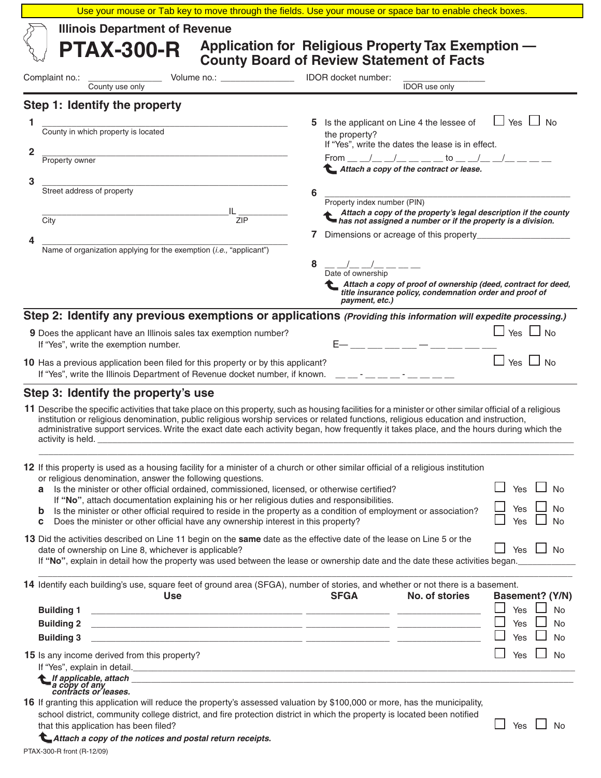|                                                                                                                                                                                                                                                                                                                                                                                                                                                                                                                                                                                                                                                                  | Use your mouse or Tab key to move through the fields. Use your mouse or space bar to enable check boxes.                                                                                                                                                                                                                                                                                                                                                                                                                                                |  |
|------------------------------------------------------------------------------------------------------------------------------------------------------------------------------------------------------------------------------------------------------------------------------------------------------------------------------------------------------------------------------------------------------------------------------------------------------------------------------------------------------------------------------------------------------------------------------------------------------------------------------------------------------------------|---------------------------------------------------------------------------------------------------------------------------------------------------------------------------------------------------------------------------------------------------------------------------------------------------------------------------------------------------------------------------------------------------------------------------------------------------------------------------------------------------------------------------------------------------------|--|
| <b>Illinois Department of Revenue</b><br>Application for Religious Property Tax Exemption -<br><b>PTAX-300-R</b><br><b>County Board of Review Statement of Facts</b>                                                                                                                                                                                                                                                                                                                                                                                                                                                                                             |                                                                                                                                                                                                                                                                                                                                                                                                                                                                                                                                                         |  |
| Volume no.: ______________________________ IDOR docket number:<br>Complaint no.: County use only                                                                                                                                                                                                                                                                                                                                                                                                                                                                                                                                                                 | <b>IDOR</b> use only                                                                                                                                                                                                                                                                                                                                                                                                                                                                                                                                    |  |
| Step 1: Identify the property                                                                                                                                                                                                                                                                                                                                                                                                                                                                                                                                                                                                                                    |                                                                                                                                                                                                                                                                                                                                                                                                                                                                                                                                                         |  |
| County in which property is located<br>1<br>2<br><b>Property owner</b><br>3<br>Street address of property<br>City<br><b>ZIP</b><br>Name of organization applying for the exemption ( <i>i.e.</i> , "applicant")                                                                                                                                                                                                                                                                                                                                                                                                                                                  | ப<br>Yes $\Box$<br><b>No</b><br>Is the applicant on Line 4 the lessee of<br>the property?<br>If "Yes", write the dates the lease is in effect.<br>From __ _/_ _/_ _ _ _ _ _ to __ _/_ _/_ _ _ _<br>Attach a copy of the contract or lease.<br>6<br>Property index number (PIN)<br>Attach a copy of the property's legal description if the county<br>has not assigned a number or if the property is a division.<br>8<br>$\frac{\Delta}{\text{Date of ownership}} - \frac{\Delta}{\text{Date of ownership}} - \frac{\Delta}{\text{Date of the object}}$ |  |
| 9 Does the applicant have an Illinois sales tax exemption number?<br>If "Yes", write the exemption number.                                                                                                                                                                                                                                                                                                                                                                                                                                                                                                                                                       | Attach a copy of proof of ownership (deed, contract for deed,<br>title insurance policy, condemnation order and proof of<br>payment, etc.)<br>Step 2: Identify any previous exemptions or applications (Providing this information will expedite processing.)<br>$\Box$ Yes $\Box$ No<br>E- __ __ __ __ -_ - __ __ __                                                                                                                                                                                                                                   |  |
| 10 Has a previous application been filed for this property or by this applicant?<br>If "Yes", write the Illinois Department of Revenue docket number, if known. ____-_-___-__-                                                                                                                                                                                                                                                                                                                                                                                                                                                                                   | $\Box$ Yes $\Box$ No                                                                                                                                                                                                                                                                                                                                                                                                                                                                                                                                    |  |
| Step 3: Identify the property's use<br>institution or religious denomination, public religious worship services or related functions, religious education and instruction,                                                                                                                                                                                                                                                                                                                                                                                                                                                                                       | 11 Describe the specific activities that take place on this property, such as housing facilities for a minister or other similar official of a religious<br>administrative support services. Write the exact date each activity began, how frequently it takes place, and the hours during which the                                                                                                                                                                                                                                                    |  |
| 12 If this property is used as a housing facility for a minister of a church or other similar official of a religious institution<br>or religious denomination, answer the following questions.<br>Yes $\Box$ No<br>Is the minister or other official ordained, commissioned, licensed, or otherwise certified?<br>a<br>If "No", attach documentation explaining his or her religious duties and responsibilities.<br>Yes<br>No<br>Is the minister or other official required to reside in the property as a condition of employment or association?<br>b<br>Does the minister or other official have any ownership interest in this property?<br>Yes<br>No<br>c |                                                                                                                                                                                                                                                                                                                                                                                                                                                                                                                                                         |  |
| 13 Did the activities described on Line 11 begin on the same date as the effective date of the lease on Line 5 or the<br>date of ownership on Line 8, whichever is applicable?<br>If "No", explain in detail how the property was used between the lease or ownership date and the date these activities began.                                                                                                                                                                                                                                                                                                                                                  | Yes $\Box$ No                                                                                                                                                                                                                                                                                                                                                                                                                                                                                                                                           |  |
| 14 Identify each building's use, square feet of ground area (SFGA), number of stories, and whether or not there is a basement.<br><b>Use</b><br><b>Building 1</b><br><u> 1999 - Jacques Alexandro III, poet e alexandro de la califactura de la califactura de la califactura de la c</u><br><b>Building 2</b><br><u> 1999 - Jan James Alexandro III, presidente e alexandro de la contrada de la contrada de la contrada de la co</u><br><b>Building 3</b><br><u> 1999 - Johann Harry Harry Harry Harry Harry Harry Harry Harry Harry Harry Harry Harry Harry Harry Harry Harry</u>                                                                             | <b>SFGA</b><br>No. of stories<br>Basement? (Y/N)<br>Yes<br><b>No</b><br>Yes<br>No<br>Yes<br>No                                                                                                                                                                                                                                                                                                                                                                                                                                                          |  |
| 15 Is any income derived from this property?<br>Let applicable, attach<br>a copy of any<br>contracts or leases.<br>16 If granting this application will reduce the property's assessed valuation by \$100,000 or more, has the municipality,                                                                                                                                                                                                                                                                                                                                                                                                                     | Yes<br><b>No</b>                                                                                                                                                                                                                                                                                                                                                                                                                                                                                                                                        |  |
| school district, community college district, and fire protection district in which the property is located been notified<br>that this application has been filed?                                                                                                                                                                                                                                                                                                                                                                                                                                                                                                | Yes<br>No                                                                                                                                                                                                                                                                                                                                                                                                                                                                                                                                               |  |

*Attach a copy of the notices and postal return receipts.*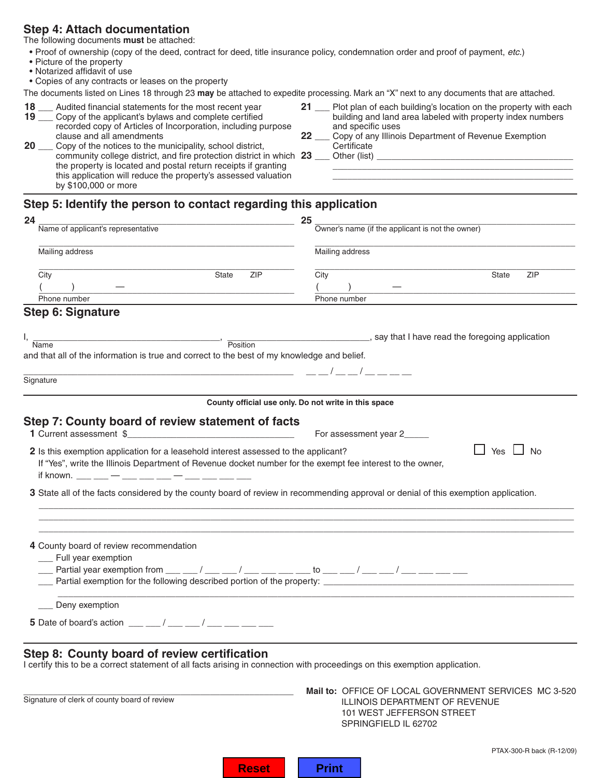## **Step 4: Attach documentation**

The following documents **must** be attached:

- Proof of ownership (copy of the deed, contract for deed, title insurance policy, condemnation order and proof of payment, *etc.*)
- Picture of the property
- Notarized affidavit of use

• Copies of any contracts or leases on the property

The documents listed on Lines 18 through 23 **may** be attached to expedite processing. Mark an "X" next to any documents that are attached.

- recorded copy of Articles of Incorporation, including purpose clause and all amendments
- **2000** Copy of the notices to the municipality, school district, community college district, and fire protection district in which **23** \_\_\_\_\_ Other (list) \_ the property is located and postal return receipts if granting this application will reduce the property's assessed valuation by \$100,000 or more
- **18** Audited financial statements for the most recent year **21** Plot plan of each building's location on the property with each **19** \_\_\_ Copy of the applicant's bylaws and complete certified building and land area labeled with property index numbers recorded copy of Articles of Incorporation, including purpose and specific uses
- clause and all amendments **22** \_\_\_ Copy of any Illinois Department of Revenue Exemption<br>**20** \_\_\_ Copy of the notices to the municipality, school district, **22** \_\_\_ Certificate
	-

# **Step 5: Identify the person to contact regarding this application**

| 24                                                                                                                                                                                                                                                                                                                 | 25                                                                                                                                                                                                                             |  |
|--------------------------------------------------------------------------------------------------------------------------------------------------------------------------------------------------------------------------------------------------------------------------------------------------------------------|--------------------------------------------------------------------------------------------------------------------------------------------------------------------------------------------------------------------------------|--|
| Name of applicant's representative                                                                                                                                                                                                                                                                                 | Owner's name (if the applicant is not the owner)                                                                                                                                                                               |  |
| Mailing address                                                                                                                                                                                                                                                                                                    | Mailing address                                                                                                                                                                                                                |  |
| City<br><b>ZIP</b><br><b>State</b>                                                                                                                                                                                                                                                                                 | City<br><b>ZIP</b><br><b>State</b>                                                                                                                                                                                             |  |
|                                                                                                                                                                                                                                                                                                                    |                                                                                                                                                                                                                                |  |
| Phone number                                                                                                                                                                                                                                                                                                       | Phone number                                                                                                                                                                                                                   |  |
| <b>Step 6: Signature</b>                                                                                                                                                                                                                                                                                           |                                                                                                                                                                                                                                |  |
| Ι,                                                                                                                                                                                                                                                                                                                 | Name Manner Contract of Contract Contract of Contract Contract Contract Contract Contract Contract Contract Contract Contract Contract Contract Contract Contract Contract Contract Contract Contract Contract Contract Contra |  |
| and that all of the information is true and correct to the best of my knowledge and belief.                                                                                                                                                                                                                        |                                                                                                                                                                                                                                |  |
|                                                                                                                                                                                                                                                                                                                    |                                                                                                                                                                                                                                |  |
| Signature                                                                                                                                                                                                                                                                                                          |                                                                                                                                                                                                                                |  |
|                                                                                                                                                                                                                                                                                                                    | County official use only. Do not write in this space                                                                                                                                                                           |  |
|                                                                                                                                                                                                                                                                                                                    |                                                                                                                                                                                                                                |  |
| Step 7: County board of review statement of facts                                                                                                                                                                                                                                                                  |                                                                                                                                                                                                                                |  |
| 1 Current assessment \$                                                                                                                                                                                                                                                                                            | For assessment year 2_____                                                                                                                                                                                                     |  |
| If "Yes", write the Illinois Department of Revenue docket number for the exempt fee interest to the owner,<br>if known. ___ __ — ___ — ___ — ___ — ___ —<br>3 State all of the facts considered by the county board of review in recommending approval or denial of this exemption application.                    |                                                                                                                                                                                                                                |  |
| 4 County board of review recommendation<br>__ Full year exemption<br>____ Partial year exemption from ___ ___ / ___ ___ / ___ ___ ___ to ___ ___ / ___ ___ / ___ ___ ___ ___                                                                                                                                       | example 2 and 2 and 2 and 2 and 2 and 2 and 2 and 2 and 2 and 2 and 2 and 2 and 2 and 2 and 2 and 2 and 2 and 2 and 2 and 2 and 2 and 2 and 2 and 2 and 2 and 2 and 2 and 2 and 2 and 2 and 2 and 2 and 2 and 2 and 2 and 2 an |  |
| Deny exemption                                                                                                                                                                                                                                                                                                     |                                                                                                                                                                                                                                |  |
|                                                                                                                                                                                                                                                                                                                    |                                                                                                                                                                                                                                |  |
| <b>5</b> Date of board's action $\frac{1}{2}$ $\frac{1}{2}$ $\frac{1}{2}$ $\frac{1}{2}$ $\frac{1}{2}$ $\frac{1}{2}$ $\frac{1}{2}$ $\frac{1}{2}$ $\frac{1}{2}$ $\frac{1}{2}$ $\frac{1}{2}$ $\frac{1}{2}$ $\frac{1}{2}$ $\frac{1}{2}$ $\frac{1}{2}$ $\frac{1}{2}$ $\frac{1}{2}$ $\frac{1}{2}$ $\frac{1}{2}$ $\frac{$ |                                                                                                                                                                                                                                |  |
|                                                                                                                                                                                                                                                                                                                    |                                                                                                                                                                                                                                |  |
| Step 8: County board of review certification<br>I certify this to be a correct statement of all facts arising in connection with proceedings on this exemption application.                                                                                                                                        |                                                                                                                                                                                                                                |  |
| Signature of clerk of county board of review                                                                                                                                                                                                                                                                       | Mail to: OFFICE OF LOCAL GOVERNMENT SERVICES MC 3-520                                                                                                                                                                          |  |
|                                                                                                                                                                                                                                                                                                                    | ILLINOIS DEPARTMENT OF REVENUE<br>101 WEST JEFFERSON STREET<br>SPRINGFIELD IL 62702                                                                                                                                            |  |

|  | чп.<br>ш |
|--|----------|
|--|----------|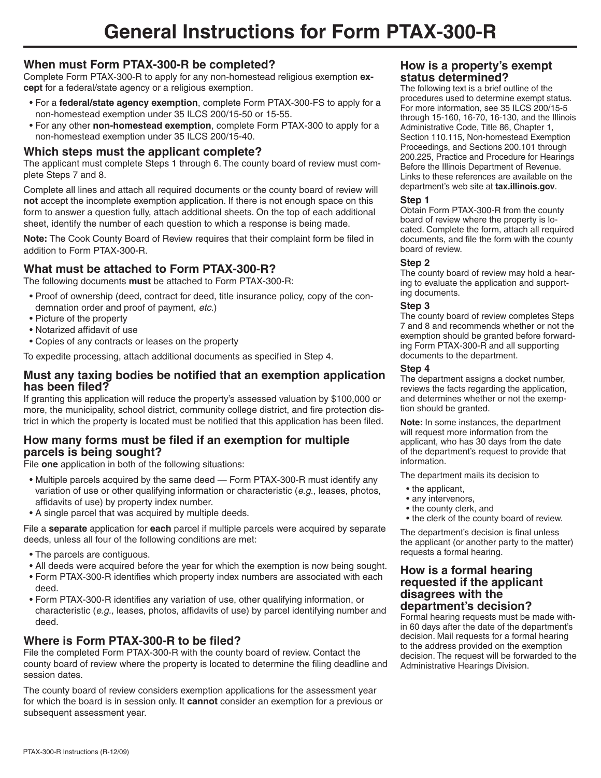# **When must Form PTAX-300-R be completed?**

Complete Form PTAX-300-R to apply for any non-homestead religious exemption **except** for a federal/state agency or a religious exemption.

- For a **federal/state agency exemption**, complete Form PTAX-300-FS to apply for a non-homestead exemption under 35 ILCS 200/15-50 or 15-55.
- For any other **non-homestead exemption**, complete Form PTAX-300 to apply for a non-homestead exemption under 35 ILCS 200/15-40.

## **Which steps must the applicant complete?**

The applicant must complete Steps 1 through 6. The county board of review must complete Steps 7 and 8.

Complete all lines and attach all required documents or the county board of review will **not** accept the incomplete exemption application. If there is not enough space on this form to answer a question fully, attach additional sheets. On the top of each additional sheet, identify the number of each question to which a response is being made.

**Note:** The Cook County Board of Review requires that their complaint form be filed in addition to Form PTAX-300-R.

## **What must be attached to Form PTAX-300-R?**

The following documents **must** be attached to Form PTAX-300-R:

- Proof of ownership (deed, contract for deed, title insurance policy, copy of the condemnation order and proof of payment, *etc.*)
- Picture of the property
- Notarized affidavit of use
- Copies of any contracts or leases on the property

To expedite processing, attach additional documents as specified in Step 4.

### **Must any taxing bodies be notified that an exemption application has been filed?**

If granting this application will reduce the property's assessed valuation by \$100,000 or more, the municipality, school district, community college district, and fire protection district in which the property is located must be notified that this application has been filed.

## **How many forms must be filed if an exemption for multiple parcels is being sought?**

File **one** application in both of the following situations:

- Multiple parcels acquired by the same deed Form PTAX-300-R must identify any variation of use or other qualifying information or characteristic (*e.g.,* leases, photos, affidavits of use) by property index number.
- A single parcel that was acquired by multiple deeds.

File a **separate** application for **each** parcel if multiple parcels were acquired by separate deeds, unless all four of the following conditions are met:

- The parcels are contiguous.
- All deeds were acquired before the year for which the exemption is now being sought.
- Form PTAX-300-R identifies which property index numbers are associated with each deed.
- Form PTAX-300-R identifies any variation of use, other qualifying information, or characteristic (*e.g.,* leases, photos, affidavits of use) by parcel identifying number and deed.

## **Where is Form PTAX-300-R to be filed?**

File the completed Form PTAX-300-R with the county board of review. Contact the county board of review where the property is located to determine the filing deadline and session dates.

The county board of review considers exemption applications for the assessment year for which the board is in session only. It **cannot** consider an exemption for a previous or subsequent assessment year.

### **How is a property's exempt status determined?**

The following text is a brief outline of the procedures used to determine exempt status. For more information, see 35 ILCS 200/15-5 through 15-160, 16-70, 16-130, and the Illinois Administrative Code, Title 86, Chapter 1, Section 110.115, Non-homestead Exemption Proceedings, and Sections 200.101 through 200.225, Practice and Procedure for Hearings Before the Illinois Department of Revenue. Links to these references are available on the department's web site at **tax.illinois.gov**.

#### **Step 1**

Obtain Form PTAX-300-R from the county board of review where the property is located. Complete the form, attach all required documents, and file the form with the county board of review.

#### **Step 2**

The county board of review may hold a hearing to evaluate the application and supporting documents.

#### **Step 3**

The county board of review completes Steps 7 and 8 and recommends whether or not the exemption should be granted before forwarding Form PTAX-300-R and all supporting documents to the department.

#### **Step 4**

The department assigns a docket number, reviews the facts regarding the application, and determines whether or not the exemption should be granted.

**Note:** In some instances, the department will request more information from the applicant, who has 30 days from the date of the department's request to provide that information.

The department mails its decision to

- the applicant,
- any intervenors,
- the county clerk, and
- the clerk of the county board of review.

The department's decision is final unless the applicant (or another party to the matter) requests a formal hearing.

#### **How is a formal hearing requested if the applicant disagrees with the department's decision?**

Formal hearing requests must be made within 60 days after the date of the department's decision. Mail requests for a formal hearing to the address provided on the exemption decision. The request will be forwarded to the Administrative Hearings Division.